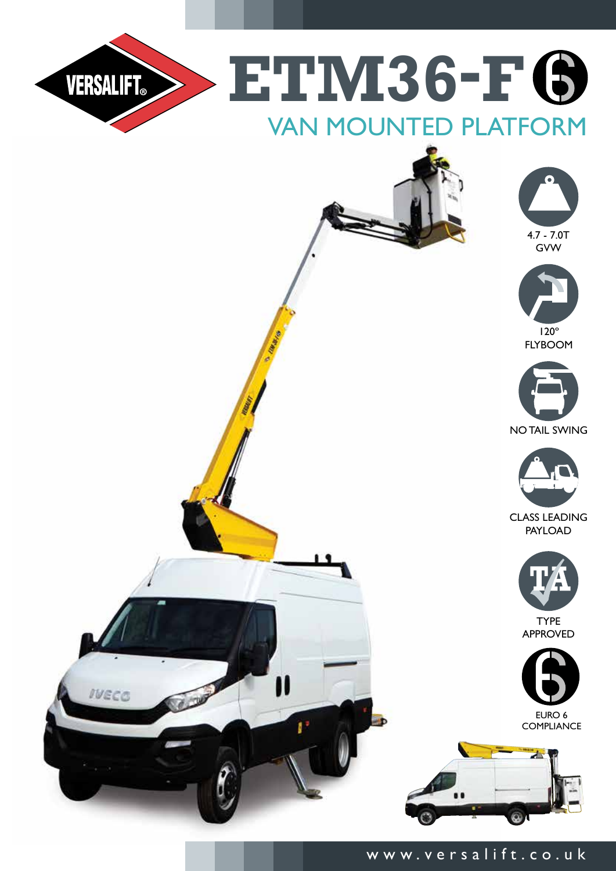

## www.versalift.co.uk